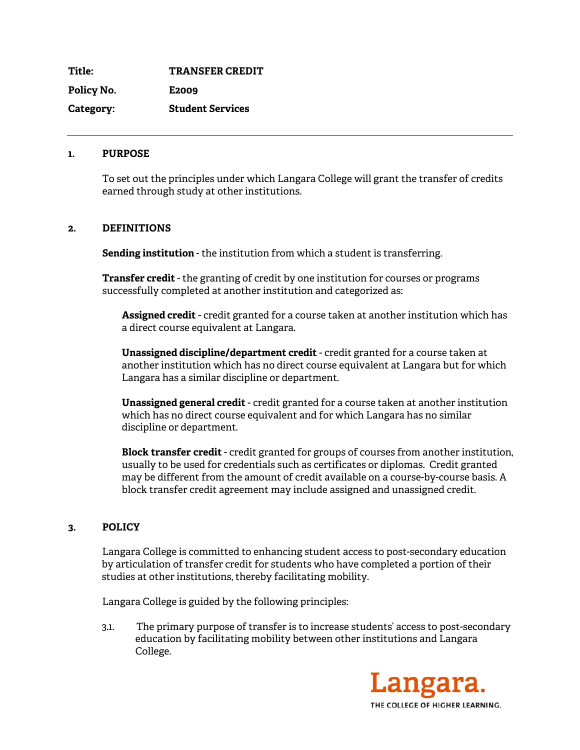**Title: TRANSFER CREDIT Policy No. E2009 Category: Student Services** 

### **1. PURPOSE**

To set out the principles under which Langara College will grant the transfer of credits earned through study at other institutions.

### **2. DEFINITIONS**

**Sending institution** - the institution from which a student is transferring.

**Transfer credit** - the granting of credit by one institution for courses or programs successfully completed at another institution and categorized as:

**Assigned credit** - credit granted for a course taken at another institution which has a direct course equivalent at Langara.

**Unassigned discipline/department credit** - credit granted for a course taken at another institution which has no direct course equivalent at Langara but for which Langara has a similar discipline or department.

**Unassigned general credit** - credit granted for a course taken at another institution which has no direct course equivalent and for which Langara has no similar discipline or department.

**Block transfer credit** - credit granted for groups of courses from another institution, usually to be used for credentials such as certificates or diplomas. Credit granted may be different from the amount of credit available on a course-by-course basis. A block transfer credit agreement may include assigned and unassigned credit.

## **3. POLICY**

Langara College is committed to enhancing student access to post-secondary education by articulation of transfer credit for students who have completed a portion of their studies at other institutions, thereby facilitating mobility.

Langara College is guided by the following principles:

3.1. The primary purpose of transfer is to increase students' access to post-secondary education by facilitating mobility between other institutions and Langara College.

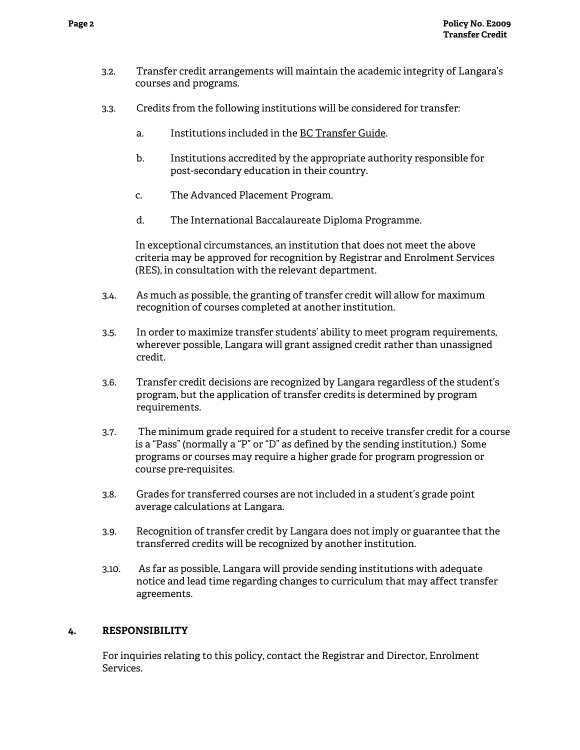- 3.2. Transfer credit arrangements will maintain the academic integrity of Langara's courses and programs.
- 3.3. Credits from the following institutions will be considered for transfer:
	- a. Institutions included in the BC Transfer Guide.
	- b. Institutions accredited by the appropriate authority responsible for post-secondary education in their country.
	- c. The Advanced Placement Program.
	- d. The International Baccalaureate Diploma Programme.

In exceptional circumstances, an institution that does not meet the above criteria may be approved for recognition by Registrar and Enrolment Services (RES), in consultation with the relevant department.

- 3.4.As much as possible, the granting of transfer credit will allow for maximum recognition of courses completed at another institution.
- 3.5.In order to maximize transfer students' ability to meet program requirements, wherever possible, Langara will grant assigned credit rather than unassigned credit.
- 3.6. Transfer credit decisions are recognized by Langara regardless of the student's program, but the application of transfer credits is determined by program requirements.
- 3.7.The minimum grade required for a student to receive transfer credit for a course is a "Pass" (normally a "P" or "D" as defined by the sending institution.) Some programs or courses may require a higher grade for program progression or course pre-requisites.
- 3.8.Grades for transferred courses are not included in a student's grade point average calculations at Langara.
- 3.9.Recognition of transfer credit by Langara does not imply or guarantee that the transferred credits will be recognized by another institution.
- 3.10. As far as possible, Langara will provide sending institutions with adequate notice and lead time regarding changes to curriculum that may affect transfer agreements.

## **4. RESPONSIBILITY**

For inquiries relating to this policy, contact the Registrar and Director, Enrolment Services.